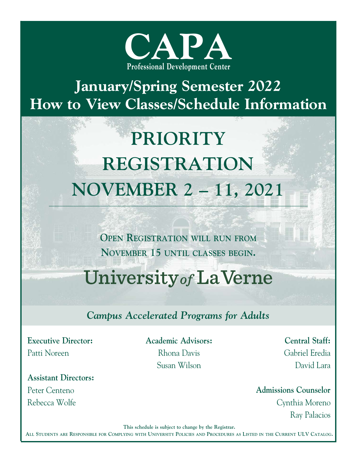

## January/Spring Semester 2022 How to View Classes/Schedule Information

## PRIORITY REGISTRATION NOVEMBER 2-11, 2021

OPEN REGISTRATION WILL RUN FROM NOVEMBER 15 UNTIL CLASSES BEGIN.

\_\_\_\_\_\_\_\_\_\_\_\_\_\_\_\_\_\_\_\_\_\_\_\_\_\_\_\_\_\_\_\_\_\_\_\_\_\_\_\_\_\_\_\_\_\_\_\_\_\_\_\_\_\_\_\_\_\_\_\_\_\_\_\_\_\_\_\_\_\_\_\_\_\_\_\_\_\_\_\_\_\_\_\_\_\_\_\_\_\_\_\_\_\_\_

## University of La Verne

#### Campus Accelerated Programs for Adults

Executive Director: Patti Noreen

Assistant Directors: Peter Centeno Rebecca Wolfe

Academic Advisors: Rhona Davis Susan Wilson

Central Staff: Gabriel Eredia David Lara

Admissions Counselor Cynthia Moreno Ray Palacios

This schedule is subject to change by the Registrar.

ALL STUDENTS ARE RESPONSIBLE FOR COMPLYING WITH UNIVERSITY POLICIES AND PROCEDURES AS LISTED IN THE CURRENT ULV CATALOG.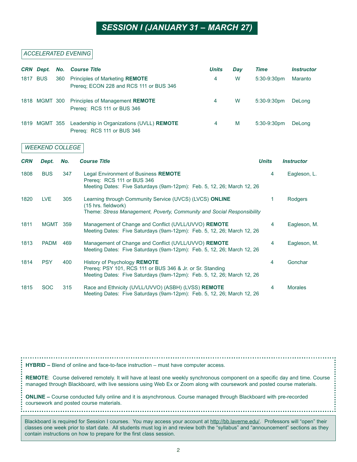#### SESSION I (JANUARY 31 - MARCH 27)

#### ACCELERATED EVENING

|            | <b>CRN</b> Dept.       | No. | <b>Course Title</b>                                                                                                                                                 | <b>Units</b> | <b>Day</b> | <b>Time</b>  | <b>Instructor</b> |
|------------|------------------------|-----|---------------------------------------------------------------------------------------------------------------------------------------------------------------------|--------------|------------|--------------|-------------------|
|            | 1817 BUS               | 360 | Principles of Marketing REMOTE<br>Prereq; ECON 228 and RCS 111 or BUS 346                                                                                           | 4            | W          | 5:30-9:30pm  | Maranto           |
|            | 1818 MGMT 300          |     | Principles of Management REMOTE<br>Prereq: RCS 111 or BUS 346                                                                                                       | 4            | W          | 5:30-9:30pm  | DeLong            |
|            | 1819 MGMT 355          |     | Leadership in Organizations (UVLL) REMOTE<br>Prereq: RCS 111 or BUS 346                                                                                             | 4            | M          | 5:30-9:30pm  | DeLong            |
|            | <b>WEEKEND COLLEGE</b> |     |                                                                                                                                                                     |              |            |              |                   |
| <b>CRN</b> | Dept.                  | No. | <b>Course Title</b>                                                                                                                                                 |              |            | <b>Units</b> | <b>Instructor</b> |
| 1808       | <b>BUS</b>             | 347 | Legal Environment of Business REMOTE<br>Prereq: RCS 111 or BUS 346<br>Meeting Dates: Five Saturdays (9am-12pm): Feb. 5, 12, 26; March 12, 26                        |              |            | 4            | Eagleson, L.      |
| 1820       | <b>LVE</b>             | 305 | Learning through Community Service (UVCS) (LVCS) ONLINE<br>(15 hrs. fieldwork)<br>Theme: Stress Management, Poverty, Community and Social Responsibility            |              |            | 1            | Rodgers           |
| 1811       | <b>MGMT</b>            | 359 | Management of Change and Conflict (UVLL/UVVO) REMOTE<br>Meeting Dates: Five Saturdays (9am-12pm): Feb. 5, 12, 26; March 12, 26                                      |              |            | 4            | Eagleson, M.      |
| 1813       | <b>PADM</b>            | 469 | Management of Change and Conflict (UVLL/UVVO) REMOTE<br>Meeting Dates: Five Saturdays (9am-12pm): Feb. 5, 12, 26; March 12, 26                                      |              |            | 4            | Eagleson, M.      |
| 1814       | <b>PSY</b>             | 400 | History of Psychology REMOTE<br>Prereq: PSY 101, RCS 111 or BUS 346 & Jr. or Sr. Standing<br>Meeting Dates: Five Saturdays (9am-12pm): Feb. 5, 12, 26; March 12, 26 |              |            | 4            | Gonchar           |
| 1815       | <b>SOC</b>             | 315 | Race and Ethnicity (UVLL/UVVO) (ASBH) (LVSS) REMOTE<br>Meeting Dates: Five Saturdays (9am-12pm): Feb. 5, 12, 26; March 12, 26                                       |              |            | 4            | <b>Morales</b>    |

 $HYBRID - B$ lend of online and face-to-face instruction  $-$  must have computer access.

REMOTE: Course delivered remotely. It will have at least one weekly synchronous component on a specific day and time. Course managed through Blackboard, with live sessions using Web Ex or Zoom along with coursework and posted course materials.

. . . . . . . . . . . . . . . . . . .

ONLINE - Course conducted fully online and it is asynchronous. Course managed through Blackboard with pre-recorded coursework and posted course materials.

Blackboard is required for Session I courses. You may access your account at http://bb.laverne.edu/. Professors will "open" their classes one week prior to start date. All students must log in and review both the "syllabus" and "announcement" sections as they contain instructions on how to prepare for the first class session.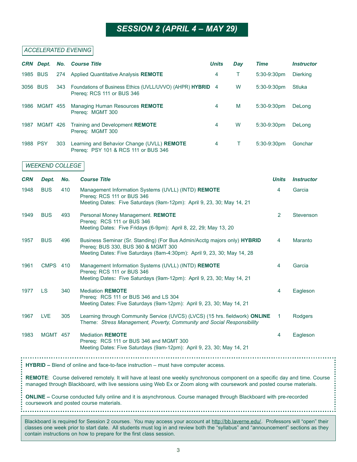### **SESSION 2 (APRIL 4 – MAY 29)**

#### ACCELERATED EVENING

|                                                                                                                                                                                                                                                        | <b>CRN</b> Dept.                                                                                                                  | No. | <b>Course Title</b>                                                                                                                                                                        | <b>Units</b>                                                                             | <b>Day</b> | <b>Time</b>          | <b>Instructor</b>        |
|--------------------------------------------------------------------------------------------------------------------------------------------------------------------------------------------------------------------------------------------------------|-----------------------------------------------------------------------------------------------------------------------------------|-----|--------------------------------------------------------------------------------------------------------------------------------------------------------------------------------------------|------------------------------------------------------------------------------------------|------------|----------------------|--------------------------|
| 1985 BUS                                                                                                                                                                                                                                               |                                                                                                                                   | 274 | Applied Quantitative Analysis REMOTE                                                                                                                                                       | 4                                                                                        | T          | 5:30-9:30pm          | <b>Dierking</b>          |
| 3056 BUS                                                                                                                                                                                                                                               |                                                                                                                                   | 343 | Prereq: RCS 111 or BUS 346                                                                                                                                                                 | W<br>Foundations of Business Ethics (UVLL/UVVO) (AHPR) HYBRID 4<br>5:30-9:30pm<br>Stluka |            |                      |                          |
|                                                                                                                                                                                                                                                        | 1986 MGMT 455                                                                                                                     |     | Managing Human Resources REMOTE<br>Prereq: MGMT 300                                                                                                                                        | 4                                                                                        | M          | 5:30-9:30pm          | DeLong                   |
|                                                                                                                                                                                                                                                        | 1987 MGMT 426                                                                                                                     |     | Training and Development REMOTE<br>Prereq: MGMT 300                                                                                                                                        | 4                                                                                        | W          | 5:30-9:30pm          | DeLong                   |
| 1988 PSY                                                                                                                                                                                                                                               |                                                                                                                                   | 303 | Learning and Behavior Change (UVLL) REMOTE<br>Prereq: PSY 101 & RCS 111 or BUS 346                                                                                                         | 4                                                                                        | Т          | 5:30-9:30pm          | Gonchar                  |
|                                                                                                                                                                                                                                                        | <b>WEEKEND COLLEGE</b>                                                                                                            |     |                                                                                                                                                                                            |                                                                                          |            |                      |                          |
| <b>CRN</b>                                                                                                                                                                                                                                             | Dept.                                                                                                                             | No. | <b>Course Title</b>                                                                                                                                                                        |                                                                                          |            | <b>Units</b>         | <i><b>Instructor</b></i> |
| 1948                                                                                                                                                                                                                                                   | <b>BUS</b>                                                                                                                        | 410 | Management Information Systems (UVLL) (INTD) REMOTE<br>Prereq: RCS 111 or BUS 346<br>Meeting Dates: Five Saturdays (9am-12pm): April 9, 23, 30; May 14, 21                                 |                                                                                          |            | 4                    | Garcia                   |
| 1949                                                                                                                                                                                                                                                   | <b>BUS</b>                                                                                                                        | 493 | Personal Money Management. REMOTE<br>Prereq: RCS 111 or BUS 346<br>Meeting Dates: Five Fridays (6-9pm): April 8, 22, 29; May 13, 20                                                        |                                                                                          |            | $\overline{2}$       | Stevenson                |
| 1957                                                                                                                                                                                                                                                   | <b>BUS</b>                                                                                                                        | 496 | Business Seminar (Sr. Standing) (For Bus Admin/Acctg majors only) HYBRID<br>Prereq: BUS 330, BUS 360 & MGMT 300<br>Meeting Dates: Five Saturdays (8am-4:30pm): April 9, 23, 30; May 14, 28 |                                                                                          |            | 4                    | Maranto                  |
| 1961                                                                                                                                                                                                                                                   | <b>CMPS 410</b>                                                                                                                   |     | Management Information Systems (UVLL) (INTD) REMOTE<br>Prereq: RCS 111 or BUS 346<br>Meeting Dates: Five Saturdays (9am-12pm): April 9, 23, 30; May 14, 21                                 |                                                                                          |            | 4                    | Garcia                   |
| 1977                                                                                                                                                                                                                                                   | <b>LS</b>                                                                                                                         | 340 | <b>Mediation REMOTE</b><br>Prereq: RCS 111 or BUS 346 and LS 304<br>Meeting Dates: Five Saturdays (9am-12pm): April 9, 23, 30; May 14, 21                                                  |                                                                                          |            | 4                    | Eagleson                 |
| 1967                                                                                                                                                                                                                                                   | <b>LVE</b>                                                                                                                        | 305 | Learning through Community Service (UVCS) (LVCS) (15 hrs. fieldwork) ONLINE<br>Theme: Stress Management, Poverty, Community and Social Responsibility                                      |                                                                                          |            | $\blacktriangleleft$ | Rodgers                  |
| 1983                                                                                                                                                                                                                                                   | <b>MGMT 457</b>                                                                                                                   |     | <b>Mediation REMOTE</b><br>Prereq: RCS 111 or BUS 346 and MGMT 300<br>Meeting Dates: Five Saturdays (9am-12pm): April 9, 23, 30; May 14, 21                                                |                                                                                          |            | 4                    | Eagleson                 |
| <b>HYBRID - Blend of online and face-to-face instruction - must have computer access.</b>                                                                                                                                                              |                                                                                                                                   |     |                                                                                                                                                                                            |                                                                                          |            |                      |                          |
| REMOTE: Course delivered remotely. It will have at least one weekly synchronous component on a specific day and time. Course<br>managed through Blackboard, with live sessions using Web Ex or Zoom along with coursework and posted course materials. |                                                                                                                                   |     |                                                                                                                                                                                            |                                                                                          |            |                      |                          |
| ONLINE - Course conducted fully online and it is asynchronous. Course managed through Blackboard with pre-recorded<br>coursework and posted course materials.                                                                                          |                                                                                                                                   |     |                                                                                                                                                                                            |                                                                                          |            |                      |                          |
|                                                                                                                                                                                                                                                        | Blackboard is required for Session 2 courses. You may access your account at http://bb.laverne.edu/. Professors will "open" their |     |                                                                                                                                                                                            |                                                                                          |            |                      |                          |
|                                                                                                                                                                                                                                                        | classes one week prior to start date. All students must log in and review both the "syllabus" and "announcement" sections as they |     |                                                                                                                                                                                            |                                                                                          |            |                      |                          |

contain instructions on how to prepare for the first class session.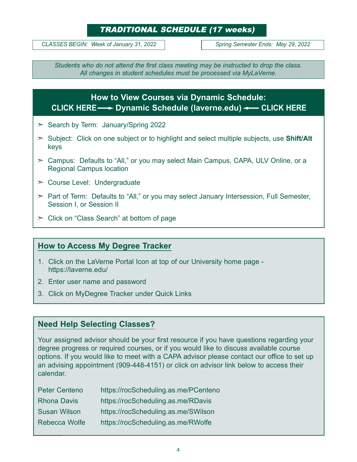#### **TRADITIONAL SCHEDULE (17 weeks)**

CLASSES BEGIN: Week of January 31, 2022 | Spring Semester Ends: May 29, 2022

Students who do not attend the first class meeting may be instructed to drop the class. All changes in student schedules must be processed via MyLaVerne.

#### How to View Courses via Dynamic Schedule: Dynamic Schedule (laverne.edu) CLICK HERE CLICK HERE

- $>$  Search by Term: January/Spring 2022
- $\geq$  Subject: Click on one subject or to highlight and select multiple subjects, use Shift/Alt keys
- $\geq$  Campus: Defaults to "All," or you may select Main Campus, CAPA, ULV Online, or a Regional Campus location
- $\geq$  Course Level: Undergraduate
- $\ge$  Part of Term: Defaults to "All," or you may select January Intersession, Full Semester, Session I, or Session II
- $\geq$  Click on "Class Search" at bottom of page

#### How to Access My Degree Tracker

- 1. Click on the LaVerne Portal Icon at top of our University home page https://laverne.edu/
- 2. Enter user name and password
- 3. Click on MyDegree Tracker under Quick Links

#### Need Help Selecting Classes?

Your assigned advisor should be your first resource if you have questions regarding your degree progress or required courses, or if you would like to discuss available course options. If you would like to meet with a CAPA advisor please contact our office to set up an advising appointment (909-448-4151) or click on advisor link below to access their calendar.

| <b>Peter Centeno</b> | https://rocScheduling.as.me/PCenteno |
|----------------------|--------------------------------------|
| <b>Rhona Davis</b>   | https://rocScheduling.as.me/RDavis   |
| <b>Susan Wilson</b>  | https://rocScheduling.as.me/SWilson  |
| Rebecca Wolfe        | https://rocScheduling.as.me/RWolfe   |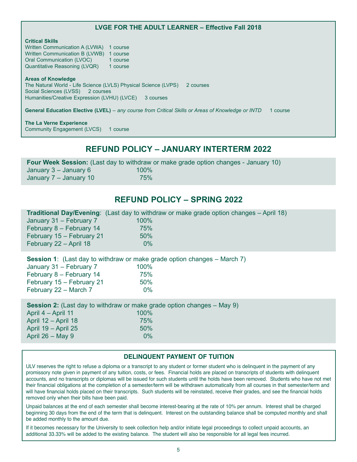#### LVGE FOR THE ADULT LEARNER - Effective Fall 2018

#### Critical Skills

Written Communication A (LVWA) 1 course Written Communication B (LVWB) 1 course<br>Oral Communication (LVOC) 1 course Oral Communication (LVOC) Quantitative Reasoning (LVQR) 1 course

#### Areas of Knowledge

The Natural World - Life Science (LVLS) Physical Science (LVPS) 2 courses Social Sciences (LVSS) 2 courses Humanities/Creative Expression (LVHU) (LVCE) 3 courses

General Education Elective (LVEL) - any course from Critical Skills or Areas of Knowledge or INTD 1 course

The La Verne Experience Community Engagement (LVCS) 1 course

#### REFUND POLICY JANUARY INTERTERM 2022

**Four Week Session:** (Last day to withdraw or make grade option changes - January 10)<br>January 3 – January 6  $100\%$ January  $3 -$  January  $6$ January 7 - January 10 75%

#### **REFUND POLICY - SPRING 2022**

|                           | <b>Traditional Day/Evening:</b> (Last day to withdraw or make grade option changes – April 18) |  |
|---------------------------|------------------------------------------------------------------------------------------------|--|
| January 31 - February 7   | 100%                                                                                           |  |
| February 8 - February 14  | 75%                                                                                            |  |
| February 15 - February 21 | 50%                                                                                            |  |
| February 22 - April 18    | $0\%$                                                                                          |  |
|                           |                                                                                                |  |
|                           |                                                                                                |  |

**Session 1:** (Last day to withdraw or make grade option changes  $-$  March 7)

| 100%  |  |
|-------|--|
| 75%   |  |
| 50%   |  |
| $0\%$ |  |
|       |  |

**Session 2:** (Last day to withdraw or make grade option changes  $-$  May 9)

| 100%  |
|-------|
| 75%   |
| 50%   |
| $0\%$ |
|       |

#### DELINQUENT PAYMENT OF TUITION

ULV reserves the right to refuse a diploma or a transcript to any student or former student who is delinquent in the payment of any promissory note given in payment of any tuition, costs, or fees. Financial holds are placed on transcripts of students with delinquent accounts, and no transcripts or diplomas will be issued for such students until the holds have been removed. Students who have not met their financial obligations at the completion of a semester/term will be withdrawn automatically from all courses in that semester/term and will have financial holds placed on their transcripts. Such students will be reinstated, receive their grades, and see the financial holds removed only when their bills have been paid.

Unpaid balances at the end of each semester shall become interest-bearing at the rate of 10% per annum. Interest shall be charged beginning 30 days from the end of the term that is delinquent. Interest on the outstanding balance shall be computed monthly and shall be added monthly to the amount due.

If it becomes necessary for the University to seek collection help and/or initiate legal proceedings to collect unpaid accounts, an additional 33.33% will be added to the existing balance. The student will also be responsible for all legal fees incurred.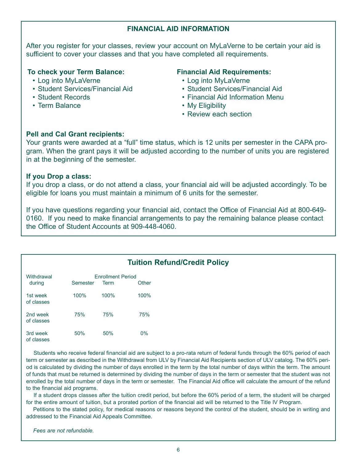#### FINANCIAL AID INFORMATION

After you register for your classes, review your account on MyLaVerne to be certain your aid is sufficient to cover your classes and that you have completed all requirements.

#### To check your Term Balance:

- Log into MyLaVerne
- Student Services/Financial Aid
- Student Records
- Term Balance

#### Financial Aid Requirements:

- Log into MyLaVerne
- Student Services/Financial Aid
- Financial Aid Information Menu
- My Eligibility
- Review each section

#### Pell and Cal Grant recipients:

Your grants were awarded at a "full" time status, which is 12 units per semester in the CAPA program. When the grant pays it will be adjusted according to the number of units you are registered in at the beginning of the semester.

#### If you Drop a class:

If you drop a class, or do not attend a class, your financial aid will be adjusted accordingly. To be eligible for loans you must maintain a minimum of 6 units for the semester.

If you have questions regarding your financial aid, contact the Office of Financial Aid at 800-649- 0160. If you need to make financial arrangements to pay the remaining balance please contact the Office of Student Accounts at 909-448-4060.

| <b>Tuition Refund/Credit Policy</b> |          |                          |       |  |  |
|-------------------------------------|----------|--------------------------|-------|--|--|
| Withdrawal                          |          | <b>Enrollment Period</b> |       |  |  |
| during                              | Semester | Term                     | Other |  |  |
| 1st week<br>of classes              | 100%     | 100%                     | 100%  |  |  |
| 2nd week<br>of classes              | 75%      | 75%                      | 75%   |  |  |
| 3rd week<br>of classes              | 50%      | 50%                      | $0\%$ |  |  |

 Students who receive federal financial aid are subject to a pro-rata return of federal funds through the 60% period of each term or semester as described in the Withdrawal from ULV by Financial Aid Recipients section of ULV catalog. The 60% period is calculated by dividing the number of days enrolled in the term by the total number of days within the term. The amount of funds that must be returned is determined by dividing the number of days in the term or semester that the student was not enrolled by the total number of days in the term or semester. The Financial Aid office will calculate the amount of the refund to the financial aid programs.

 If a student drops classes after the tuition credit period, but before the 60% period of a term, the student will be charged for the entire amount of tuition, but a prorated portion of the financial aid will be returned to the Title IV Program.

 Petitions to the stated policy, for medical reasons or reasons beyond the control of the student, should be in writing and addressed to the Financial Aid Appeals Committee.

Fees are not refundable.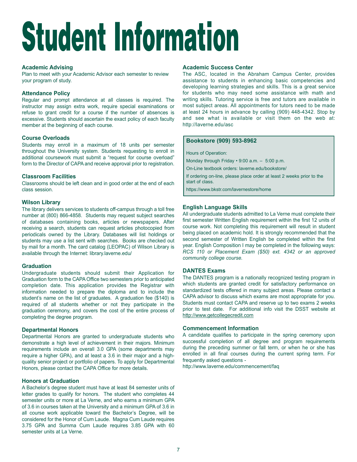# **Student Information**

#### Academic Advising

Plan to meet with your Academic Advisor each semester to review your program of study.

#### Attendance Policy

Regular and prompt attendance at all classes is required. The instructor may assign extra work, require special examinations or refuse to grant credit for a course if the number of absences is excessive. Students should ascertain the exact policy of each faculty member at the beginning of each course.

#### Course Overloads

Students may enroll in a maximum of 18 units per semester throughout the University system. Students requesting to enroll in additional coursework must submit a "request for course overload" form to the Director of CAPA and receive approval prior to registration.

#### Classroom Facilities

Classrooms should be left clean and in good order at the end of each class session.

#### Wilson Library

The library delivers services to students off-campus through a toll free number at (800) 866-4858. Students may request subject searches of databases containing books, articles or newspapers. After receiving a search, students can request articles photocopied from periodicals owned by the Library. Databases will list holdings or students may use a list sent with searches. Books are checked out by mail for a month. The card catalog (LEOPAC) of Wilson Library is available through the Internet: library.laverne.edu/

#### **Graduation**

Undergraduate students should submit their Application for Graduation form to the CAPA Office two semesters prior to anticipated completion date. This application provides the Registrar with information needed to prepare the diploma and to include the student's name on the list of graduates. A graduation fee (\$140) is required of all students whether or not they participate in the graduation ceremony, and covers the cost of the entire process of completing the degree program. students may use a list sent with searches. Books are checked out second sentester of Written Engilstrom in the competited with the contact the University of the contact the contact the contact the contact the contact the

#### Departmental Honors

Departmental Honors are granted to undergraduate students who demonstrate a high level of achievement in their majors. Minimum requirements include an overall 3.0 GPA (some departments may require a higher GPA), and at least a 3.6 in their major and a highquality senior project or portfolio of papers. To apply for Departmental

#### Honors at Graduation

A Bachelor's degree student must have at least 84 semester units of letter grades to qualify for honors. The student who completes 44 semester units or more at La Verne, and who earns a minimum GPA of 3.6 in courses taken at the University and a minimum GPA of 3.6 in all course work applicable toward the Bachelor's Degree, will be considered for the Honor of Cum Laude. Magna Cum Laude requires 3.75 GPA and Summa Cum Laude requires 3.85 GPA with 60 semester units at La Verne.

#### Academic Success Center

The ASC, located in the Abraham Campus Center, provides assistance to students in enhancing basic competencies and developing learning strategies and skills. This is a great service for students who may need some assistance with math and writing skills. Tutoring service is free and tutors are available in most subject areas. All appointments for tutors need to be made at least 24 hours in advance by calling (909) 448-4342. Stop by and see what is available or visit them on the web at: http://laverne.edu/asc

#### Bookstore (909) 593-8962

Hours of Operation:

Monday through Friday  $\cdot$  9:00 a.m.  $-$  5:00 p.m.

On-Line textbook orders: laverne.edu/bookstore/

If ordering on-line, please place order at least 2 weeks prior to the start of class.

https://www.bkstr.com/lavernestore/home

#### English Language Skills

All undergraduate students admitted to La Verne must complete their first semester Written English requirement within the first 12 units of course work. Not completing this requirement will result in student being placed on academic hold. It is strongly recommended that the second semester of Written English be completed within the first year. English Composition I may be completed in the following ways: RCS 110 or Placement Exam (\$50) ext. 4342 or an approved community college course.

#### DANTES Exams

The DANTES program is a nationally recognized testing program in which students are granted credit for satisfactory performance on standardized tests offered in many subject areas. Please contact a CAPA advisor to discuss which exams are most appropriate for you. Students must contact CAPA and reserve up to two exams 2 weeks prior to test date. For additional info visit the DSST website at http://www.getcollegecredit.com

#### Commencement Information

A candidate qualifies to participate in the spring ceremony upon successful completion of all degree and program requirements during the preceding summer or fall term, or when he or she has enrolled in all final courses during the current spring term. For frequently asked questions -

http://www.laverne.edu/commencement/faq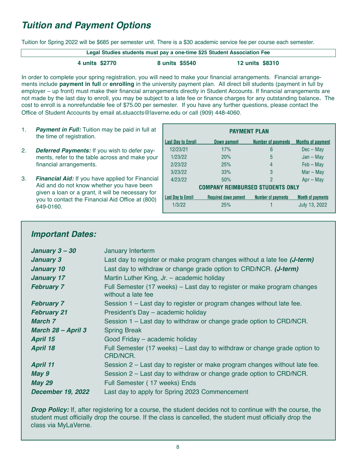#### Tuition and Payment Options

Tuition for Spring 2022 will be \$685 per semester unit. There is a \$30 academic service fee per course each semester.

| Legal Studies students must pay a one-time \$25 Student Association Fee |                |                        |  |  |
|-------------------------------------------------------------------------|----------------|------------------------|--|--|
| 4 units \$2770                                                          | 8 units \$5540 | <b>12 units \$8310</b> |  |  |

In order to complete your spring registration, you will need to make your financial arrangements. Financial arrangements include payment in full or enrolling in the university payment plan. All direct bill students (payment in full by employer – up front) must make their financial arrangements directly in Student Accounts. If financial arrangements are not made by the last day to enroll, you may be subject to a late fee or finance charges for any outstanding balance. The cost to enroll is a nonrefundable fee of \$75.00 per semester. If you have any further questions, please contact the Office of Student Accounts by email at stuaccts@laverne.edu or call (909) 448-4060.

- 1. Payment in Full: Tuition may be paid in full at the time of registration.
- 2. Deferred Payments: If you wish to defer payments, refer to the table across and make your financial arrangements.
- 3. Financial Aid: If you have applied for Financial Aid and do not know whether you have been given a loan or a grant, it will be necessary for you to contact the Financial Aid Office at (800) 649-0160.

| <b>PAYMENT PLAN</b>              |                             |                           |                          |  |  |  |
|----------------------------------|-----------------------------|---------------------------|--------------------------|--|--|--|
| <b>Last Day to Enroll</b>        | Down pament                 | <b>Number of payments</b> | <b>Months of payment</b> |  |  |  |
| 12/23/21                         | 17%                         | 6                         | $Dec - Max$              |  |  |  |
| 1/23/22                          | 20%                         | 5                         | $Jan - May$              |  |  |  |
| 2/23/22                          | 25%                         | 4                         | $Feb - May$              |  |  |  |
| 3/23/22                          | 33%                         | 3                         | $Mar - May$              |  |  |  |
| 4/23/22                          | 50%                         | 2                         | $Apr - May$              |  |  |  |
| COMPANY REIMBURSED STUDENTS ONLY |                             |                           |                          |  |  |  |
| <b>Last Day to Enroll</b>        | <b>Required down pament</b> | <b>Number of payments</b> | <b>Month of payments</b> |  |  |  |
| 1/3/22                           | 25%                         |                           | July 13, 2022            |  |  |  |
|                                  |                             |                           |                          |  |  |  |

#### Important Dates:

| January 3-30             | January Interterm                                                                             |
|--------------------------|-----------------------------------------------------------------------------------------------|
| <b>January 3</b>         | Last day to register or make program changes without a late fee (J-term)                      |
| <b>January 10</b>        | Last day to withdraw or change grade option to CRD/NCR. (J-term)                              |
| <b>January 17</b>        | Martin Luther King, Jr. - academic holiday                                                    |
| <b>February 7</b>        | Full Semester (17 weeks) - Last day to register or make program changes<br>without a late fee |
| <b>February 7</b>        | Session 1 - Last day to register or program changes without late fee.                         |
| <b>February 21</b>       | President's Day - academic holiday                                                            |
| March 7                  | Session 1 - Last day to withdraw or change grade option to CRD/NCR.                           |
| March 28 - April 3       | <b>Spring Break</b>                                                                           |
| <b>April 15</b>          | Good Friday - academic holiday                                                                |
| <b>April 18</b>          | Full Semester (17 weeks) – Last day to withdraw or change grade option to<br>CRD/NCR.         |
| <b>April 11</b>          | Session 2 – Last day to register or make program changes without late fee.                    |
| May 9                    | Session 2 – Last day to withdraw or change grade option to CRD/NCR.                           |
| <b>May 29</b>            | Full Semester (17 weeks) Ends                                                                 |
| <b>December 19, 2022</b> | Last day to apply for Spring 2023 Commencement                                                |

**Drop Policy:** If, after registering for a course, the student decides not to continue with the course, the student must officially drop the course. If the class is cancelled, the student must officially drop the class via MyLaVerne.